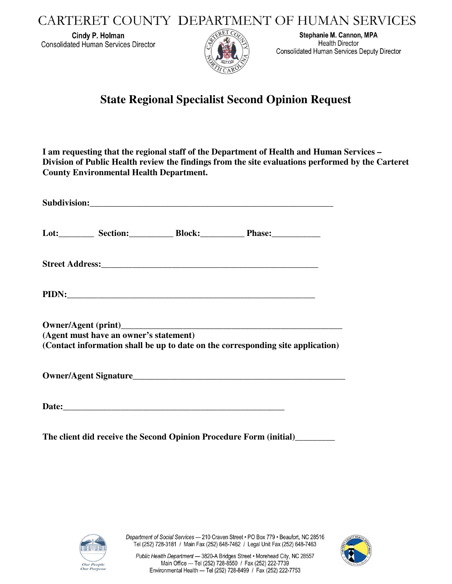CARTERET COUNTY DEPARTMENT OF HUMAN SERVICES

Cindy P. Holman **Consolidated Human Services Director** 



Stephanie M. Cannon, MPA **Health Director Consolidated Human Services Deputy Director** 

## **State Regional Specialist Second Opinion Request**

**I am requesting that the regional staff of the Department of Health and Human Services – Division of Public Health review the findings from the site evaluations performed by the Carteret County Environmental Health Department.** 

|  |                                        |  | Lot:____________ Section:_____________ Block:_______________ Phase:_____________ |  |
|--|----------------------------------------|--|----------------------------------------------------------------------------------|--|
|  |                                        |  |                                                                                  |  |
|  |                                        |  |                                                                                  |  |
|  |                                        |  |                                                                                  |  |
|  | (Agent must have an owner's statement) |  | (Contact information shall be up to date on the corresponding site application)  |  |
|  |                                        |  |                                                                                  |  |
|  |                                        |  |                                                                                  |  |

**The client did receive the Second Opinion Procedure Form (initial)\_\_\_\_\_\_\_\_\_**